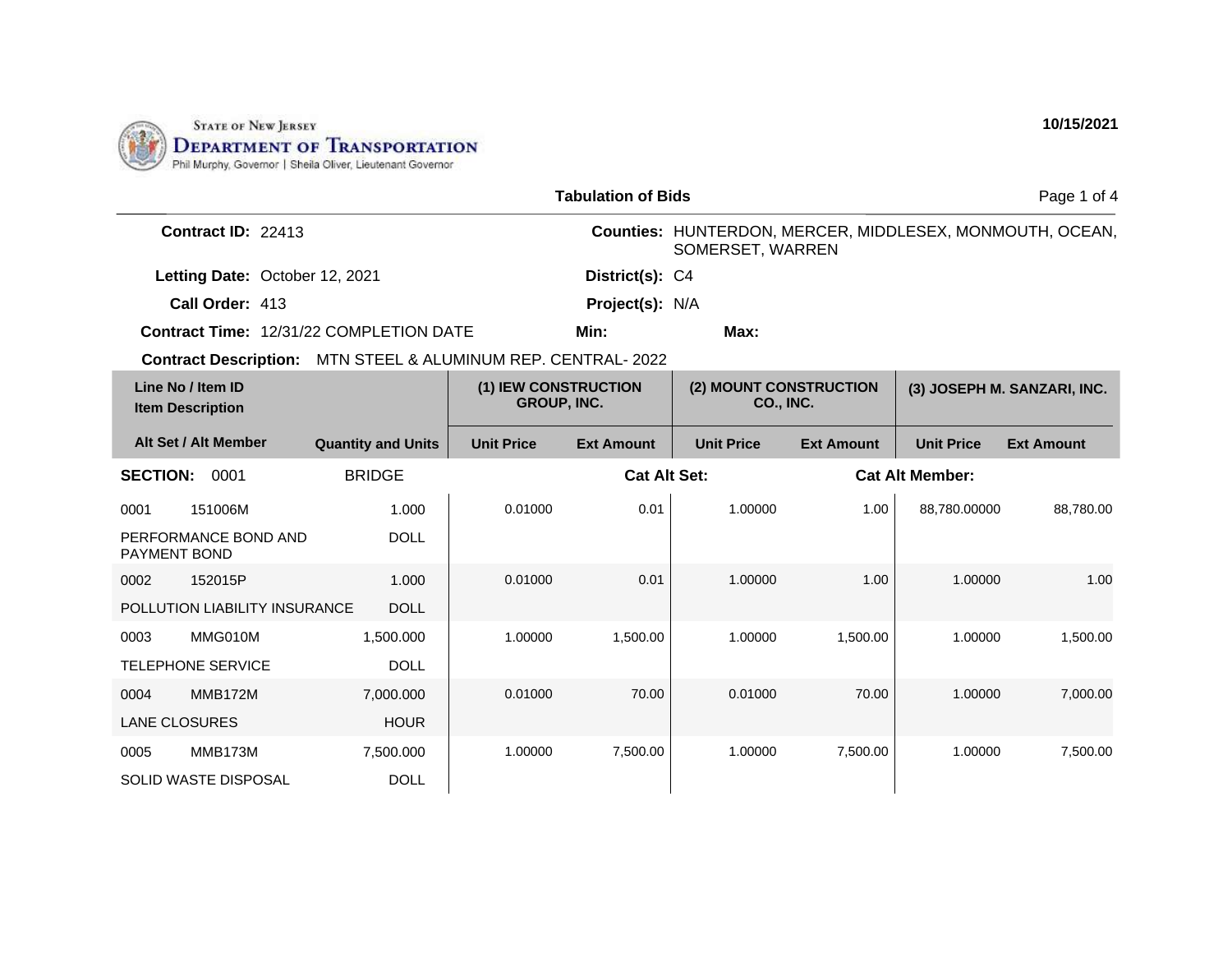

| <b>Tabulation of Bids</b>                      |                                        |                                     |                     |                                     |                   |                        | Page 1 of 4                                              |
|------------------------------------------------|----------------------------------------|-------------------------------------|---------------------|-------------------------------------|-------------------|------------------------|----------------------------------------------------------|
| Contract ID: 22413                             |                                        |                                     |                     | SOMERSET, WARREN                    |                   |                        | Counties: HUNTERDON, MERCER, MIDDLESEX, MONMOUTH, OCEAN, |
| Letting Date: October 12, 2021                 |                                        |                                     | District(s): C4     |                                     |                   |                        |                                                          |
| Call Order: 413                                |                                        |                                     | Project(s): N/A     |                                     |                   |                        |                                                          |
| <b>Contract Time: 12/31/22 COMPLETION DATE</b> |                                        |                                     | Min:                | Max:                                |                   |                        |                                                          |
| <b>Contract Description:</b>                   | MTN STEEL & ALUMINUM REP. CENTRAL-2022 |                                     |                     |                                     |                   |                        |                                                          |
| Line No / Item ID<br><b>Item Description</b>   |                                        | (1) IEW CONSTRUCTION<br>GROUP, INC. |                     | (2) MOUNT CONSTRUCTION<br>CO., INC. |                   |                        | (3) JOSEPH M. SANZARI, INC.                              |
| Alt Set / Alt Member                           | <b>Quantity and Units</b>              | <b>Unit Price</b>                   | <b>Ext Amount</b>   | <b>Unit Price</b>                   | <b>Ext Amount</b> | <b>Unit Price</b>      | <b>Ext Amount</b>                                        |
| <b>SECTION:</b><br>0001                        | <b>BRIDGE</b>                          |                                     | <b>Cat Alt Set:</b> |                                     |                   | <b>Cat Alt Member:</b> |                                                          |
| 151006M<br>0001                                | 1.000                                  | 0.01000                             | 0.01                | 1.00000                             | 1.00              | 88,780.00000           | 88,780.00                                                |
| PERFORMANCE BOND AND<br>PAYMENT BOND           | <b>DOLL</b>                            |                                     |                     |                                     |                   |                        |                                                          |
| 152015P<br>0002                                | 1.000                                  | 0.01000                             | 0.01                | 1.00000                             | 1.00              | 1.00000                | 1.00                                                     |
| POLLUTION LIABILITY INSURANCE                  | <b>DOLL</b>                            |                                     |                     |                                     |                   |                        |                                                          |
| MMG010M<br>0003                                | 1,500.000                              | 1.00000                             | 1,500.00            | 1.00000                             | 1,500.00          | 1.00000                | 1,500.00                                                 |
| <b>TELEPHONE SERVICE</b>                       | <b>DOLL</b>                            |                                     |                     |                                     |                   |                        |                                                          |
| <b>MMB172M</b><br>0004                         | 7,000.000                              | 0.01000                             | 70.00               | 0.01000                             | 70.00             | 1.00000                | 7,000.00                                                 |
| <b>LANE CLOSURES</b>                           | <b>HOUR</b>                            |                                     |                     |                                     |                   |                        |                                                          |
| MMB173M<br>0005                                | 7,500.000                              | 1.00000                             | 7,500.00            | 1.00000                             | 7,500.00          | 1.00000                | 7,500.00                                                 |
| <b>SOLID WASTE DISPOSAL</b>                    | <b>DOLL</b>                            |                                     |                     |                                     |                   |                        |                                                          |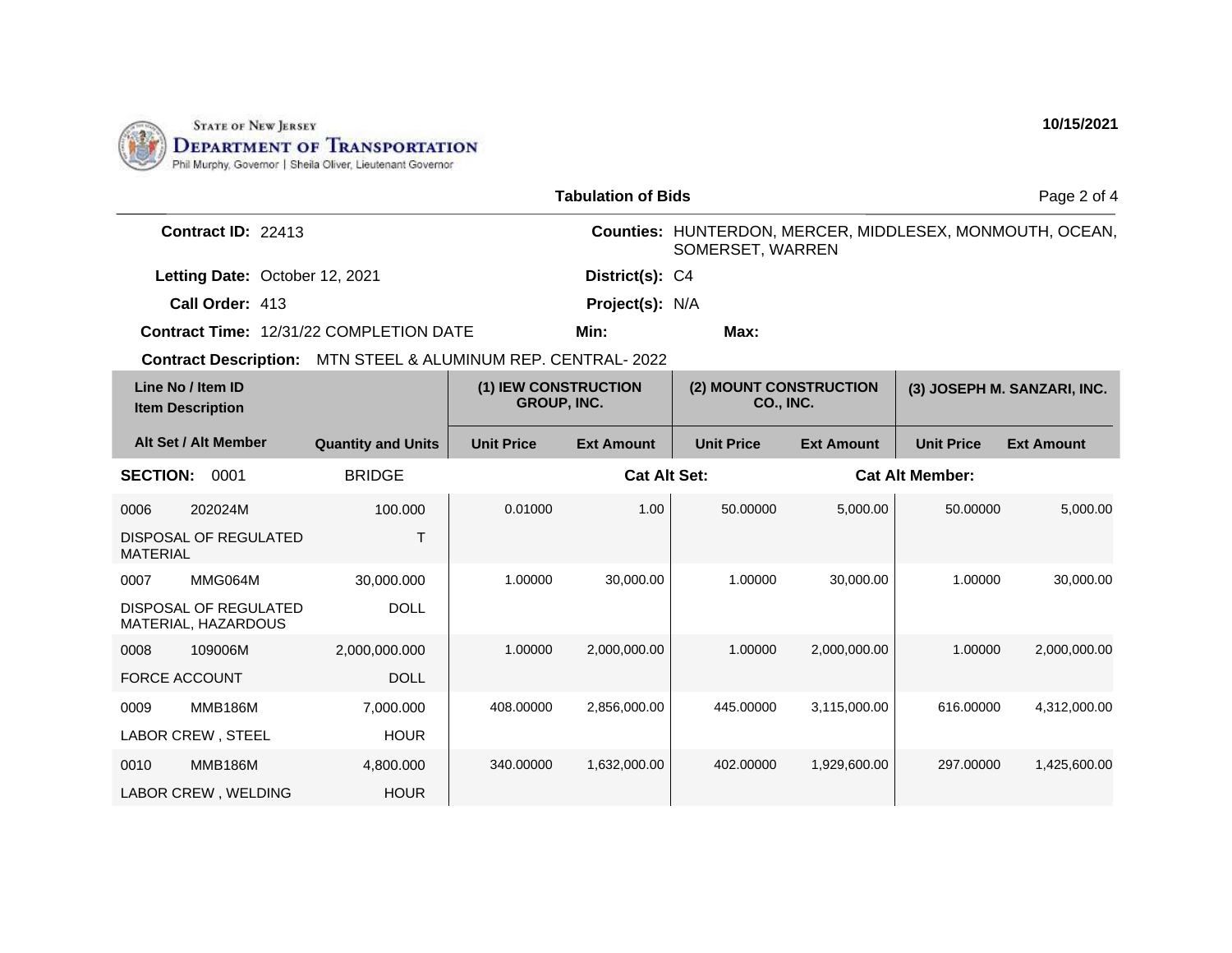

| <b>Tabulation of Bids</b>                                    |                           |                                            |                   |                                                                              |                   | Page 2 of 4                 |                   |
|--------------------------------------------------------------|---------------------------|--------------------------------------------|-------------------|------------------------------------------------------------------------------|-------------------|-----------------------------|-------------------|
| Contract ID: 22413                                           |                           |                                            |                   | Counties: HUNTERDON, MERCER, MIDDLESEX, MONMOUTH, OCEAN,<br>SOMERSET, WARREN |                   |                             |                   |
| Letting Date: October 12, 2021                               |                           |                                            | District(s): C4   |                                                                              |                   |                             |                   |
| Call Order: 413                                              |                           |                                            | Project(s): N/A   |                                                                              |                   |                             |                   |
| <b>Contract Time: 12/31/22 COMPLETION DATE</b>               |                           |                                            | Min:              | Max:                                                                         |                   |                             |                   |
| Contract Description: MTN STEEL & ALUMINUM REP. CENTRAL-2022 |                           |                                            |                   |                                                                              |                   |                             |                   |
| Line No / Item ID<br><b>Item Description</b>                 |                           | (1) IEW CONSTRUCTION<br><b>GROUP, INC.</b> |                   | (2) MOUNT CONSTRUCTION<br>CO., INC.                                          |                   | (3) JOSEPH M. SANZARI, INC. |                   |
| Alt Set / Alt Member                                         | <b>Quantity and Units</b> | <b>Unit Price</b>                          | <b>Ext Amount</b> | <b>Unit Price</b>                                                            | <b>Ext Amount</b> | <b>Unit Price</b>           | <b>Ext Amount</b> |
| <b>BRIDGE</b><br><b>SECTION:</b><br>0001                     |                           | <b>Cat Alt Set:</b>                        |                   |                                                                              |                   | <b>Cat Alt Member:</b>      |                   |
| 202024M<br>0006                                              | 100.000                   | 0.01000                                    | 1.00              | 50.00000                                                                     | 5,000.00          | 50.00000                    | 5,000.00          |
| <b>DISPOSAL OF REGULATED</b><br><b>MATERIAL</b>              | $\top$                    |                                            |                   |                                                                              |                   |                             |                   |
| MMG064M<br>0007                                              | 30,000.000                | 1.00000                                    | 30,000.00         | 1.00000                                                                      | 30,000.00         | 1.00000                     | 30,000.00         |
| DISPOSAL OF REGULATED<br>MATERIAL, HAZARDOUS                 | <b>DOLL</b>               |                                            |                   |                                                                              |                   |                             |                   |
| 109006M<br>0008                                              | 2,000,000.000             | 1.00000                                    | 2,000,000.00      | 1.00000                                                                      | 2,000,000.00      | 1.00000                     | 2,000,000.00      |
| <b>FORCE ACCOUNT</b>                                         | <b>DOLL</b>               |                                            |                   |                                                                              |                   |                             |                   |
| <b>MMB186M</b><br>0009                                       | 7,000.000                 | 408.00000                                  | 2,856,000.00      | 445.00000                                                                    | 3,115,000.00      | 616.00000                   | 4,312,000.00      |
| LABOR CREW, STEEL                                            | <b>HOUR</b>               |                                            |                   |                                                                              |                   |                             |                   |
| <b>MMB186M</b><br>0010                                       | 4,800.000                 | 340.00000                                  | 1,632,000.00      | 402.00000                                                                    | 1,929,600.00      | 297.00000                   | 1,425,600.00      |
| LABOR CREW, WELDING                                          | <b>HOUR</b>               |                                            |                   |                                                                              |                   |                             |                   |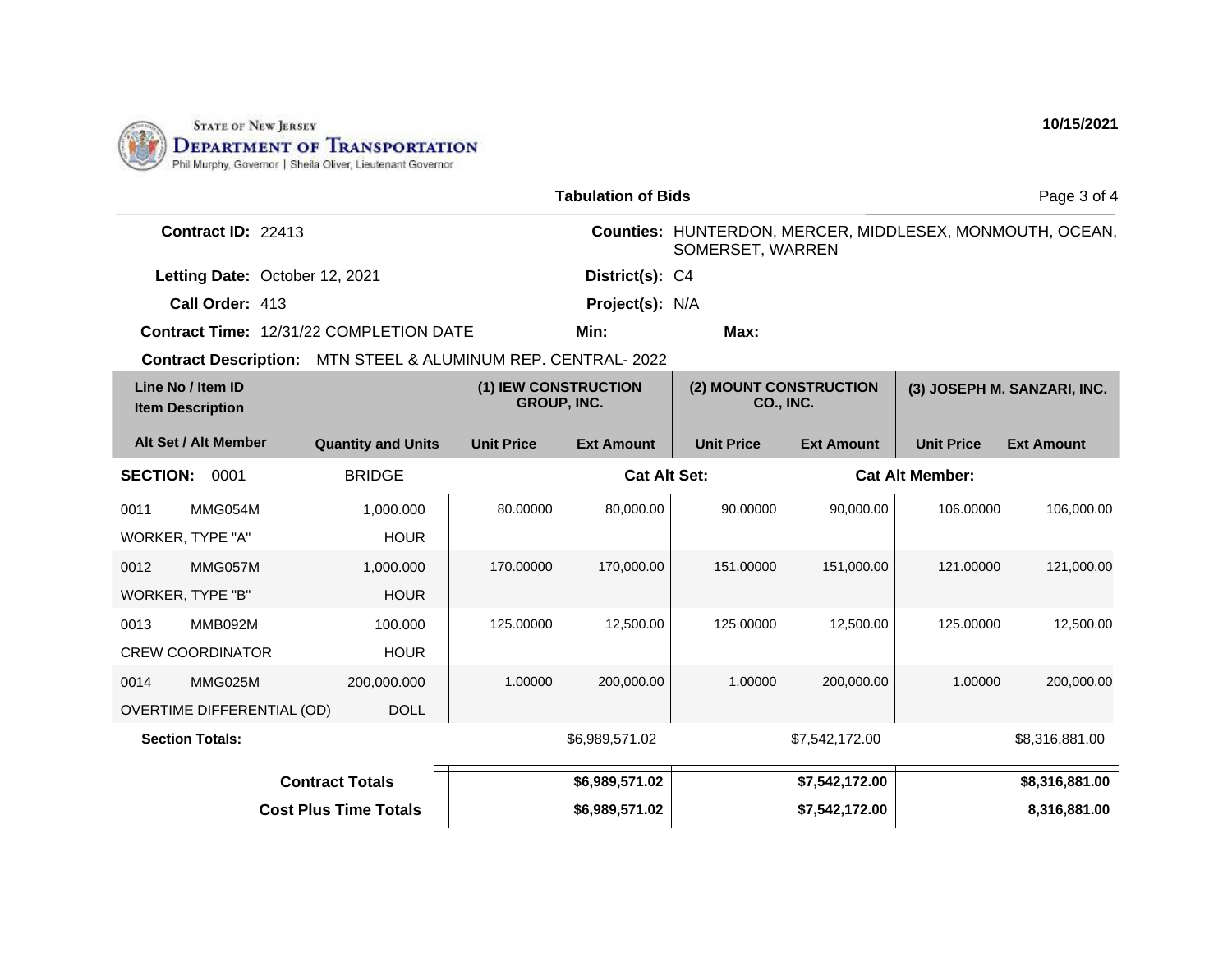

| <b>Tabulation of Bids</b>                    |                                   |                                                              |                     |                                            |                        |                             | Page 3 of 4                                              |                   |
|----------------------------------------------|-----------------------------------|--------------------------------------------------------------|---------------------|--------------------------------------------|------------------------|-----------------------------|----------------------------------------------------------|-------------------|
| Contract ID: 22413                           |                                   |                                                              |                     | SOMERSET, WARREN                           |                        |                             | Counties: HUNTERDON, MERCER, MIDDLESEX, MONMOUTH, OCEAN, |                   |
|                                              |                                   | Letting Date: October 12, 2021                               |                     | District(s): C4                            |                        |                             |                                                          |                   |
|                                              | Call Order: 413                   |                                                              |                     | Project(s): N/A                            |                        |                             |                                                          |                   |
|                                              |                                   | <b>Contract Time: 12/31/22 COMPLETION DATE</b>               |                     | Min:                                       | Max:                   |                             |                                                          |                   |
|                                              |                                   | Contract Description: MTN STEEL & ALUMINUM REP. CENTRAL-2022 |                     |                                            |                        |                             |                                                          |                   |
| Line No / Item ID<br><b>Item Description</b> |                                   | (1) IEW CONSTRUCTION<br><b>GROUP, INC.</b>                   |                     | (2) MOUNT CONSTRUCTION<br><b>CO., INC.</b> |                        | (3) JOSEPH M. SANZARI, INC. |                                                          |                   |
|                                              | Alt Set / Alt Member              | <b>Quantity and Units</b>                                    | <b>Unit Price</b>   | <b>Ext Amount</b>                          | <b>Unit Price</b>      | <b>Ext Amount</b>           | <b>Unit Price</b>                                        | <b>Ext Amount</b> |
| <b>SECTION:</b><br><b>BRIDGE</b><br>0001     |                                   |                                                              | <b>Cat Alt Set:</b> |                                            | <b>Cat Alt Member:</b> |                             |                                                          |                   |
| 0011                                         | MMG054M                           | 1,000.000                                                    | 80.00000            | 80,000.00                                  | 90.00000               | 90,000.00                   | 106.00000                                                | 106,000.00        |
|                                              | WORKER, TYPE "A"                  | <b>HOUR</b>                                                  |                     |                                            |                        |                             |                                                          |                   |
| 0012                                         | MMG057M                           | 1,000.000                                                    | 170.00000           | 170,000.00                                 | 151.00000              | 151,000.00                  | 121.00000                                                | 121,000.00        |
|                                              | WORKER, TYPE "B"                  | <b>HOUR</b>                                                  |                     |                                            |                        |                             |                                                          |                   |
| 0013                                         | MMB092M                           | 100.000                                                      | 125.00000           | 12,500.00                                  | 125.00000              | 12,500.00                   | 125.00000                                                | 12,500.00         |
|                                              | <b>CREW COORDINATOR</b>           | <b>HOUR</b>                                                  |                     |                                            |                        |                             |                                                          |                   |
| 0014                                         | MMG025M                           | 200,000.000                                                  | 1.00000             | 200,000.00                                 | 1.00000                | 200,000.00                  | 1.00000                                                  | 200,000.00        |
|                                              | <b>OVERTIME DIFFERENTIAL (OD)</b> | <b>DOLL</b>                                                  |                     |                                            |                        |                             |                                                          |                   |
|                                              | <b>Section Totals:</b>            |                                                              |                     | \$6,989,571.02                             |                        | \$7,542,172.00              |                                                          | \$8,316,881.00    |
|                                              |                                   | <b>Contract Totals</b>                                       |                     | \$6,989,571.02                             |                        | \$7,542,172.00              |                                                          | \$8,316,881.00    |
| <b>Cost Plus Time Totals</b>                 |                                   |                                                              | \$6,989,571.02      |                                            | \$7,542,172.00         |                             | 8,316,881.00                                             |                   |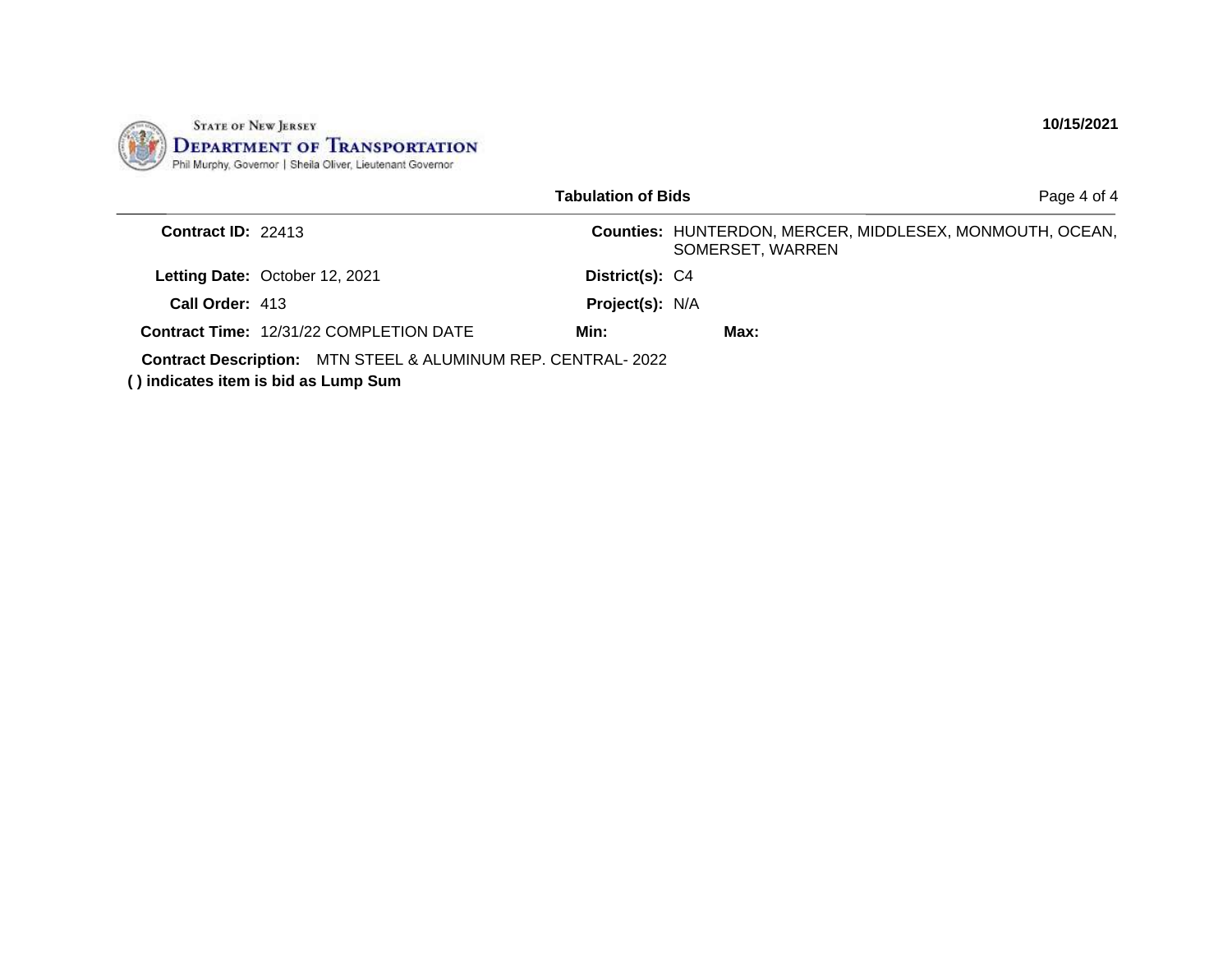

|                      |                                                                                                             | <b>Tabulation of Bids</b> | Page 4 of 4                                                                  |
|----------------------|-------------------------------------------------------------------------------------------------------------|---------------------------|------------------------------------------------------------------------------|
| Contract $ID: 22413$ |                                                                                                             |                           | Counties: HUNTERDON, MERCER, MIDDLESEX, MONMOUTH, OCEAN,<br>SOMERSET, WARREN |
|                      | Letting Date: October 12, 2021                                                                              | District(s): C4           |                                                                              |
| Call Order: 413      |                                                                                                             | Project(s): N/A           |                                                                              |
|                      | <b>Contract Time: 12/31/22 COMPLETION DATE</b>                                                              | Min:                      | Max:                                                                         |
|                      | <b>Contract Description:</b> MTN STEEL & ALUMINUM REP. CENTRAL-2022<br>() indicates item is bid as Lump Sum |                           |                                                                              |